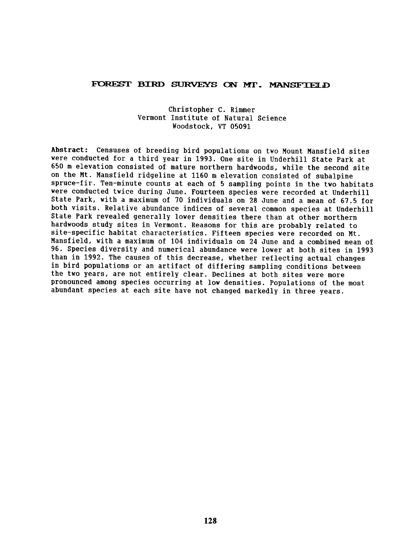## FOREST BIRD SURVEYS ON MT. MANSFIELD

## Christopher C. Rimmer Vermont Institute of Natural Science Woodstock. VT 05091

Abstract: Censuses of breeding bird populations on two Mount Mansfield sites were conducted for a third vear in 1993. One site in Underhill State Park at 650 m elevation consisted of mature northern hardwoods, while the second site on the Mt. Mansfield ridgeline at 1160 m elevation consisted of subalpine spruce-fir. Ten-minute counts at each of 5 sampling points in the two habitats were conducted twice during June. Fourteen species were recorded at Underhill State Park, with a maximum of 70 individuals on 28 June and a mean of 67.5 for both visits. Relative abundance indices of several common species at Underhill State Park revealed generally lower densities there than at other northern hardwoods study sites in Vermont. Reasons for this are probably related to site-specific habitat characteristics. Fifteen species were recorded on Mt. Mansfield, with a maximum of 104 individuals on 24 June and a combined mean of 96. Species diversity and numerical abundance were lower at both sites in 1993 than in 1992. The causes of this decrease, whether reflecting actual changes in bird populations or an artifact of differing sampling conditions between the two years, are not entirely clear. Declines at both sites were more pronounced among species occurring at low densities. Populations of the most abundant species at each site have not changed markedly in three years.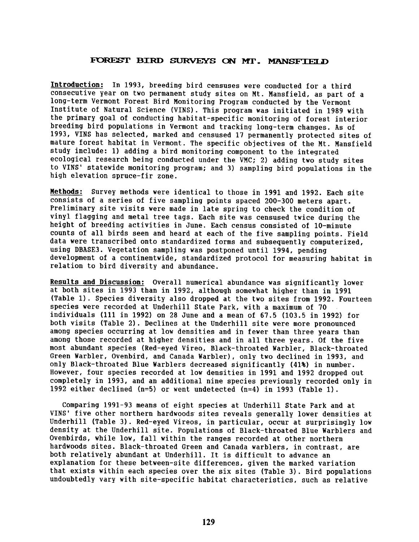## FOREST BIRD SURVEYS ON MT. MANSFIELD

Introduction: In 1993, breeding bird censuses were conducted for a third consecutive year on two permanent study sites on Mt. Mansfield, as part of a long-term Vermont Forest Bird Monitoring Program conducted by the Vermont Institute of Natural Science (VINS). This program was initiated in 1989 with the primary goal of conducting habitat-specific monitoring of forest interior breeding bird populations in Vermont and tracking long-term changes. As of 1993, VINS has selected, marked and censused 17 permanently protected sites of mature forest habitat in Vermont. The specific objectives of the Mt. Mansfield study include: 1} adding a bird monitoring component to the integrated ecological research being conducted under the VMC; 2} adding two study sites to VINS' statewide monitoring program; and 3} sampling bird populations in the high elevation spruce-fir zone.

Methods: Survey methods were identical to those in 1991 and 1992. Each site consists of a series of five sampling points spaced 200-300 meters apart. Preliminary site visits were made in late spring to check the condition of vinyl flagging and metal tree tags. Each site was censused twice during the height of breeding activities in June. Each census consisted of 10-minute counts of all birds seen and heard at each of the five sampling points. Field data were transcribed onto standardized forms and subsequently computerized, using DBASE3. Vegetation sampling was postponed until 1994, pending development of a continentwide, standardized protocol for measuring habitat in relation to bird diversity and abundance.

Results and Discussion: Overall numerical abundance was significantly lower at both sites in 1993 than in 1992, although somewhat higher than in 1991 (Table 1} .Species diversity also dropped at the two sites from 1992. Fourteen species were recorded at Underhill State Park, with a maximum of 70 individuals (111 in 1992} on 28 June and a mean of 67.5 (103.5 in 1992} for both visits (Table 2). Declines at the Underhill site were more pronounced among species occurring at low densities and in fewer than three years than among those recorded at higher densities and in all three years. Of the five most abundant species (Red-eyed Vireo, Black-throated Warbler, Black-throated Green Warbler, Ovenbird, and Canada Warbler), only two declined in 1993, and only Black-throated Blue Warblers decreased significantly (41%) in number. However, four species recorded at low densities in 1991 and 1992 dropped out completely in 1993, and an additional nine species previously recorded only in 1992 either declined (n=5) or went undetected (n=4) in 1993 (Table 1}.

Comparing 1991-93 means of eight species at Underhill State Park and at VINS' five other northern hardwoods' sites reveals generally lower densities at Underhill (Table 3). Red-eyed Vireos, in particular, occur at surprisingly low density at the Underhill site. Populations of Black-throated Blue Warblers and Ovenbirds, while low, fall within the ranges recorded at other northern hardwoods sites. Black-throated Green and Canada warblers, in contrast, are both relatively abundant at Underhill. It is difficult to advance an explanation for these between-site differences, given the marked variation that exists within each species over the six sites (Table 3). Bird populations undoubtedly vary with site-specific habitat characteristics, such as relative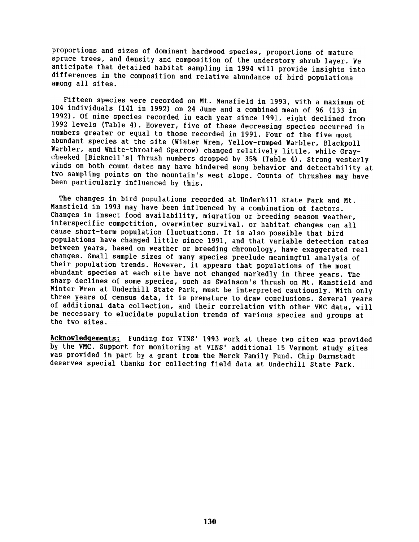proportions and sizes of dominant hardwood species, proportions of mature spruce trees, and density and composition of the understory shrub layer. We anticipate that detailed habitat sampling in 1994 will provide insights into differences in the composition and relative abundance of bird populations among all sites.

Fifteen species were recorded on Mt. Mansfield in 1993, with a maximum of 104 individuals (141 in 1992} on 24 June and a combined mean of 96 (133 in 1992}. Of nine species recorded in each year since 1991, eight declined from 1992 levels (Table 4). However, five of these decreasing species occurred in numbers greater or equal to those recorded in 1991. Four of the five most abundant species at the site (Winter Wren, Yellow-rumped Warbler, Blackpoll Warbler, and White-throated Sparrow) changed relatively little, while Graycheeked [Bicknell'sl Thrush numbers dropped by 35% (Table 4}. Strong westerly winds on both count dates may have hindered song behavior and detectability at two sampling points on the mountain's west slope. Counts of thrushes may have been particularly influenced by this.

The changes in bird populations recorded at Underhill State Park and Mt. Mansfield in 1993 may have been influenced by a combination of factors. Changes in insect food availability, migration or breeding season weather, interspecific competition, overwinter survival, or habitat changes can all cause short-term population fluctuations. It is also possible that bird populations have changed little since 1991, and that variable detection rates between years, based on weather or breeding chronology, have exaggerated real changes. Small sample sizes of many species preclude meaningful analysis of their population trends. However, it appears that populations of the most abundant species at each site have not changed markedly in three years. The sharp declines of some species, such as Swainson's Thrush on Mt. Mansfield and Winter Wren at Underhill State Park, must be interpreted cautiously. With only three years of census data, it is premature to draw conclusions. Several years of additional data collection, and their correlation with other VMC data, will be necessary to elucidate population trends of various species and groups at the two sites.

Acknowledgements: Funding for VINS' 1993 work at these two sites was provided by the VMC. Support for monitoring at VINS' additional 15 Vermont study sites was provided in part by a grant from the Merck Family Fund. Chip Darmstadt deserves special thanks for collecting field data at Underhill State Park.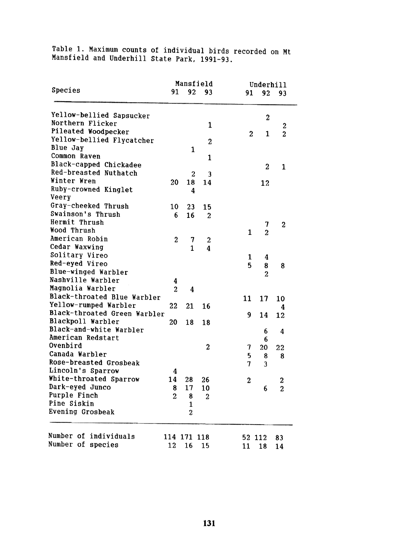Table 1. Maximum counts of individual birds recorded on Mt mansfield and Underhill State Park, 1991-9

|                                                   |                | Mansfield        |                         |  | Underhill        |                         |                  |
|---------------------------------------------------|----------------|------------------|-------------------------|--|------------------|-------------------------|------------------|
| Species                                           | 91             | 92               | 93                      |  | 91               | 92                      | 93               |
| Yellow-bellied Sapsucker                          |                |                  |                         |  |                  | $\boldsymbol{2}$        |                  |
| Northern Flicker                                  |                |                  | $\mathbf{1}$            |  |                  |                         | 2                |
| Pileated Woodpecker                               |                |                  |                         |  | $\boldsymbol{2}$ | 1                       | $\overline{2}$   |
| Yellow-bellied Flycatcher                         |                |                  | $\overline{2}$          |  |                  |                         |                  |
| Blue Jay                                          |                | 1                |                         |  |                  |                         |                  |
| Common Raven                                      |                |                  | $\mathbf{1}$            |  |                  |                         |                  |
| Black-capped Chickadee                            |                |                  |                         |  |                  | $\overline{2}$          | $\mathbf{1}$     |
| Red-breasted Nuthatch                             |                | $\boldsymbol{2}$ | $\overline{\mathbf{3}}$ |  |                  |                         |                  |
| Winter Wren                                       | 20             | 18               | 14                      |  |                  | 12                      |                  |
| Ruby-crowned Kinglet<br>Veery                     |                | 4                |                         |  |                  |                         |                  |
| Gray-cheeked Thrush                               |                |                  |                         |  |                  |                         |                  |
| Swainson's Thrush                                 | 10             | 23               | 15                      |  |                  |                         |                  |
| Hermit Thrush                                     | 6              | 16               | $\boldsymbol{2}$        |  |                  |                         |                  |
| Wood Thrush                                       |                |                  |                         |  |                  | 7                       | $\mathbf{2}$     |
| American Robin                                    |                |                  |                         |  | $\mathbf{1}$     | $\overline{2}$          |                  |
| Cedar Waxwing                                     | $\overline{2}$ | 7                | 2                       |  |                  |                         |                  |
| Solitary Vireo                                    |                | $\mathbf{1}$     | 4                       |  |                  |                         |                  |
| Red-eyed Vireo                                    |                |                  |                         |  | 1                | 4                       |                  |
| Blue-winged Warbler                               |                |                  |                         |  | 5                | 8                       | 8                |
| Nashville Warbler                                 |                |                  |                         |  |                  | $\overline{a}$          |                  |
| Magnolia Warbler                                  | 4              |                  |                         |  |                  |                         |                  |
|                                                   | $\overline{2}$ | 4                |                         |  |                  |                         |                  |
| Black-throated Blue Warbler                       |                |                  |                         |  | 11               | 17                      | 10               |
| Yellow-rumped Warbler                             | 22             | 21               | 16                      |  |                  |                         | 4                |
| Black-throated Green Warbler<br>Blackpoll Warbler |                |                  |                         |  | 9                | 14                      | 12               |
| Black-and-white Warbler                           | 20             | 18               | 18                      |  |                  |                         |                  |
| American Redstart                                 |                |                  |                         |  |                  | 6                       | 4                |
| Ovenbird                                          |                |                  |                         |  |                  | 6                       |                  |
| Canada Warbler                                    |                |                  | 2                       |  | 7                | 20                      | 22               |
| Rose-breasted Grosbeak                            |                |                  |                         |  | 5                | 8                       | 8                |
|                                                   |                |                  |                         |  | 7                | $\overline{\mathbf{3}}$ |                  |
| Lincoln's Sparrow                                 | 4              |                  |                         |  |                  |                         |                  |
| White-throated Sparrow                            | 14             | 28               | 26                      |  | $\mathbf{z}$     |                         | 2                |
| <b>Dark-eyed Junco</b>                            | 8              | 17               | 10                      |  |                  | 6                       | $\boldsymbol{2}$ |
| Purple Finch<br>Pine Siskin                       | $\mathbf{2}$   | 8                | 2                       |  |                  |                         |                  |
| Evening Grosbeak                                  |                | $\mathbf{1}$     |                         |  |                  |                         |                  |
|                                                   |                | $\overline{2}$   |                         |  |                  |                         |                  |
| Number of individuals                             |                | 114 171 118      |                         |  |                  | 52 112                  | 83               |
| Number of species                                 | 12             | 16               | 15                      |  | 11               | 18                      | 14               |
|                                                   |                |                  |                         |  |                  |                         |                  |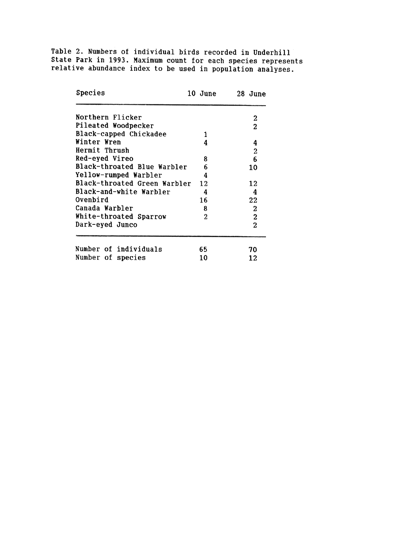Table 2. Numbers of individual birds recorded in Underhill State Park in 1993. Maximum count for each species represe relative abundance index to be used in population analys

| Species                      | 10 June        | 28 June          |
|------------------------------|----------------|------------------|
| Northern Flicker             |                | 2                |
| Pileated Woodpecker          |                | 2                |
| Black-capped Chickadee       | 1              |                  |
| Winter Wren                  | 4              | 4                |
| Hermit Thrush                |                | $\mathbf{c}$     |
| Red-eyed Vireo               | 8              | 6                |
| Black-throated Blue Warbler  | 6              | 10               |
| Yellow-rumped Warbler        | 4              |                  |
| Black-throated Green Warbler | 12             | 12               |
| Black-and-white Warbler      | 4              | 4                |
| Ovenbird                     | 16             | 22               |
| Canada Warbler               | 8              | 2                |
| White-throated Sparrow       | $\overline{c}$ | $\boldsymbol{2}$ |
| Dark-eyed Junco              |                | $\overline{2}$   |
| Number of individuals        | 65             | 70               |
| Number of species            | 10             | 12               |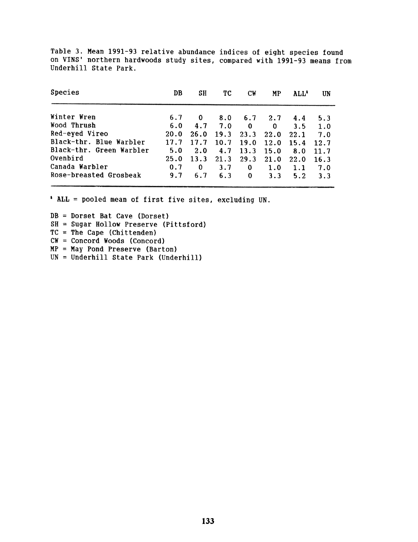Table 3. Mean 1991-93 relative abundance indices of eight species found on VINS' northern hardwoods study sites, compared with 1991-93 means from Underhill State Park.

| Species                  | DB   | SН       | ТC   | СW       | МP          | ALL' | UN   |
|--------------------------|------|----------|------|----------|-------------|------|------|
| Winter Wren              | 6.7  | $\bf{0}$ | 8.0  | 6.7      | 2.7         | 4.4  | 5.3  |
| Wood Thrush              | 6.0  | 4.7      | 7.0  | $\bf{0}$ | $\mathbf 0$ | 3.5  | 1.0  |
| Red-eyed Vireo           | 20.0 | 26.0     | 19.3 | 23.3     | 22.0        | 22.1 | 7.0  |
| Black-thr. Blue Warbler  | 17.7 | 17.7     | 10.7 | 19.0     | 12.0        | 15.4 | 12.7 |
| Black-thr. Green Warbler | 5.0  | 2.0      | 4.7  | 13.3     | 15.0        | 8.0  | 11.7 |
| Ovenbird                 | 25.0 | 13.3     | 21.3 | 29.3     | 21.0        | 22.0 | 16.3 |
| Canada Warbler           | 0.7  | 0        | 3.7  | 0        | 1.0         | 1.1  | 7.0  |
| Rose-breasted Grosbeak   | 9.7  | 6.7      | 6.3  | 0        | 3.3         | 5.2  | 3.3  |

 $*$  ALL = pooled mean of first five sites, excluding UN.

DB = Dorset Bat Cave (Dorset) SH = Sugar Hollow Preserve (Pittsford)  $TC = The Cape (Chittenden)$ CW = Concord Woods (Concord) MP = May Pond Preserve (Barton) UN = Underbill State Park (Underbill)